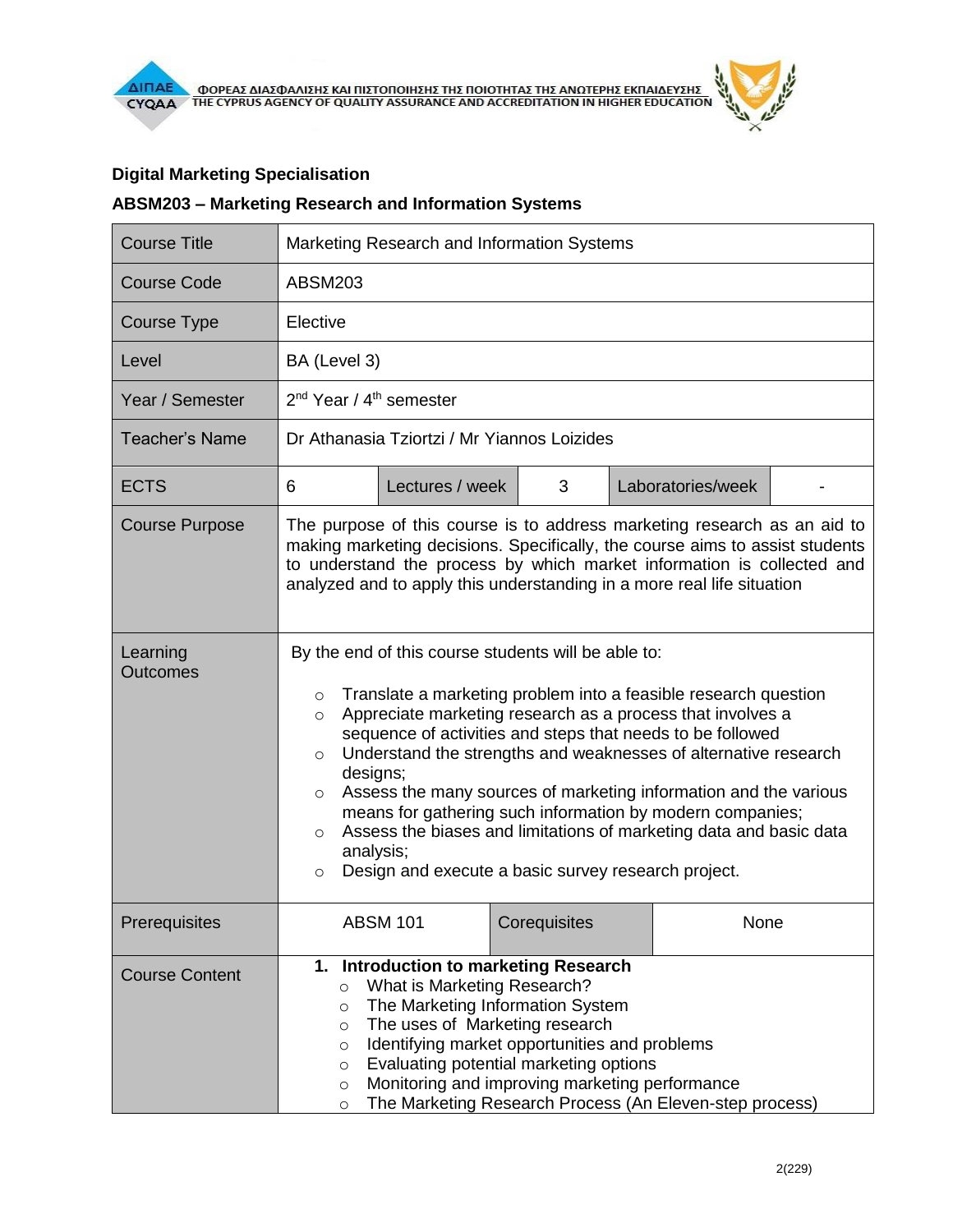# **Digital Marketing Specialisation**

## **ABSM203 – Marketing Research and Information Systems**

| <b>Course Title</b>         | Marketing Research and Information Systems                                                                                                                                                                                                                                                                                                                                                                                                                                                                                                                                                                                                                                     |                 |              |  |                   |  |  |  |  |
|-----------------------------|--------------------------------------------------------------------------------------------------------------------------------------------------------------------------------------------------------------------------------------------------------------------------------------------------------------------------------------------------------------------------------------------------------------------------------------------------------------------------------------------------------------------------------------------------------------------------------------------------------------------------------------------------------------------------------|-----------------|--------------|--|-------------------|--|--|--|--|
| <b>Course Code</b>          | <b>ABSM203</b>                                                                                                                                                                                                                                                                                                                                                                                                                                                                                                                                                                                                                                                                 |                 |              |  |                   |  |  |  |  |
| <b>Course Type</b>          | Elective                                                                                                                                                                                                                                                                                                                                                                                                                                                                                                                                                                                                                                                                       |                 |              |  |                   |  |  |  |  |
| Level                       | BA (Level 3)                                                                                                                                                                                                                                                                                                                                                                                                                                                                                                                                                                                                                                                                   |                 |              |  |                   |  |  |  |  |
| Year / Semester             | 2 <sup>nd</sup> Year / 4 <sup>th</sup> semester                                                                                                                                                                                                                                                                                                                                                                                                                                                                                                                                                                                                                                |                 |              |  |                   |  |  |  |  |
| <b>Teacher's Name</b>       | Dr Athanasia Tziortzi / Mr Yiannos Loizides                                                                                                                                                                                                                                                                                                                                                                                                                                                                                                                                                                                                                                    |                 |              |  |                   |  |  |  |  |
| <b>ECTS</b>                 | 6                                                                                                                                                                                                                                                                                                                                                                                                                                                                                                                                                                                                                                                                              | Lectures / week | 3            |  | Laboratories/week |  |  |  |  |
| <b>Course Purpose</b>       | The purpose of this course is to address marketing research as an aid to<br>making marketing decisions. Specifically, the course aims to assist students<br>to understand the process by which market information is collected and<br>analyzed and to apply this understanding in a more real life situation                                                                                                                                                                                                                                                                                                                                                                   |                 |              |  |                   |  |  |  |  |
| Learning<br><b>Outcomes</b> | By the end of this course students will be able to:<br>Translate a marketing problem into a feasible research question<br>$\circ$<br>Appreciate marketing research as a process that involves a<br>$\circ$<br>sequence of activities and steps that needs to be followed<br>Understand the strengths and weaknesses of alternative research<br>$\circ$<br>designs;<br>Assess the many sources of marketing information and the various<br>$\circ$<br>means for gathering such information by modern companies;<br>Assess the biases and limitations of marketing data and basic data<br>$\circ$<br>analysis;<br>Design and execute a basic survey research project.<br>$\circ$ |                 |              |  |                   |  |  |  |  |
| Prerequisites               |                                                                                                                                                                                                                                                                                                                                                                                                                                                                                                                                                                                                                                                                                | <b>ABSM 101</b> | Corequisites |  | None              |  |  |  |  |
| <b>Course Content</b>       | 1. Introduction to marketing Research<br>What is Marketing Research?<br>$\circ$<br>The Marketing Information System<br>$\circ$<br>The uses of Marketing research<br>$\circ$<br>Identifying market opportunities and problems<br>$\circ$<br>Evaluating potential marketing options<br>$\circ$<br>Monitoring and improving marketing performance<br>$\circ$<br>The Marketing Research Process (An Eleven-step process)<br>$\circ$                                                                                                                                                                                                                                                |                 |              |  |                   |  |  |  |  |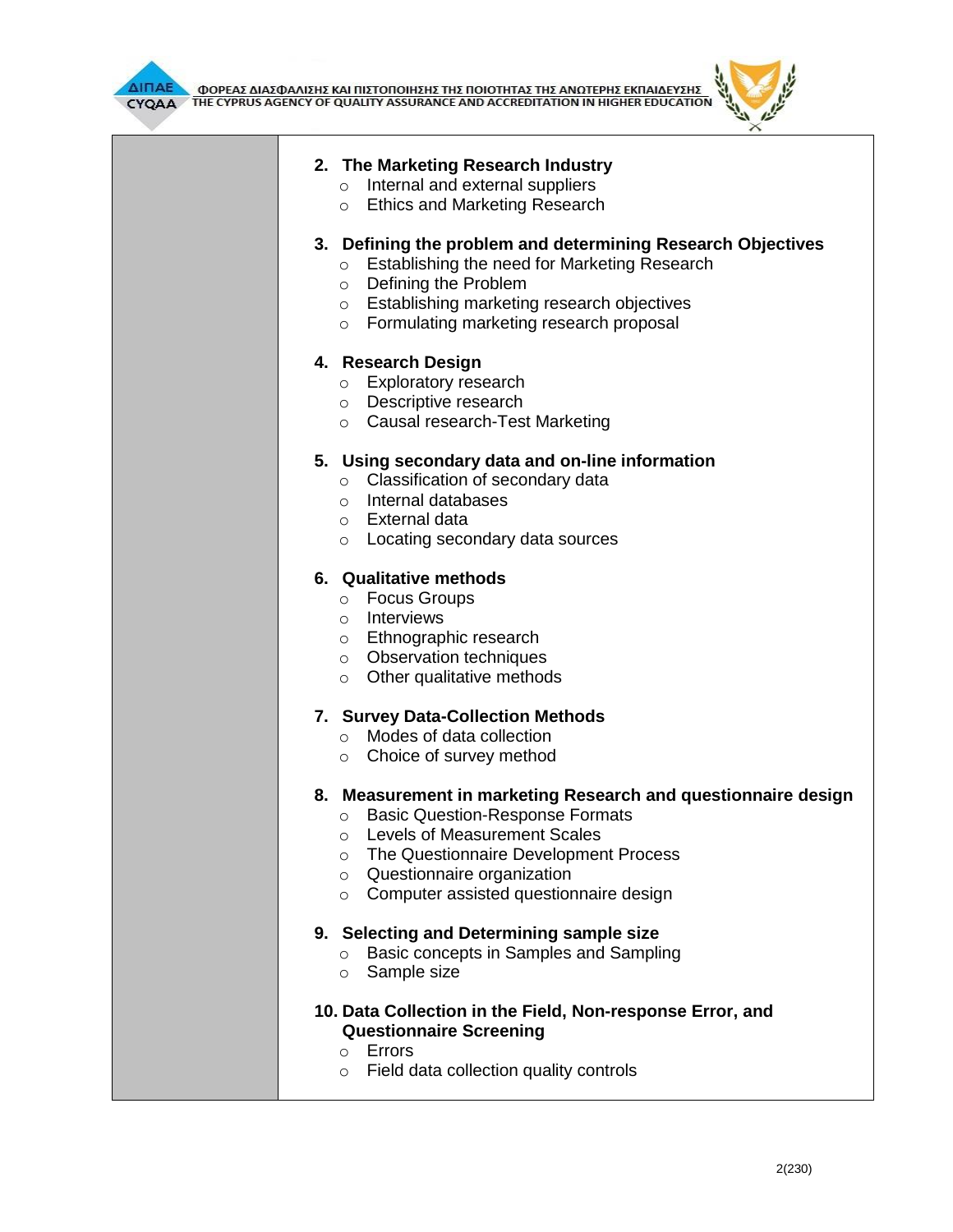



# **2. The Marketing Research Industry**

- o Internal and external suppliers
- o Ethics and Marketing Research

### **3. Defining the problem and determining Research Objectives**

- o Establishing the need for Marketing Research
- o Defining the Problem
- o Establishing marketing research objectives
- o Formulating marketing research proposal

## **4. Research Design**

- o Exploratory research
- o Descriptive research
- o Causal research-Test Marketing

## **5. Using secondary data and on-line information**

- o Classification of secondary data
- o Internal databases
- o External data
- o Locating secondary data sources

### **6. Qualitative methods**

- o Focus Groups
- o Interviews
- o Ethnographic research
- o Observation techniques
- $\circ$  Other qualitative methods

#### **7. Survey Data-Collection Methods**

- o Modes of data collection
- o Choice of survey method

## **8. Measurement in marketing Research and questionnaire design**

- o Basic Question-Response Formats
- o Levels of Measurement Scales
- o The Questionnaire Development Process
- o Questionnaire organization
- o Computer assisted questionnaire design

#### **9. Selecting and Determining sample size**

- o Basic concepts in Samples and Sampling
- o Sample size

## **10. Data Collection in the Field, Non-response Error, and Questionnaire Screening**

- o Errors
- o Field data collection quality controls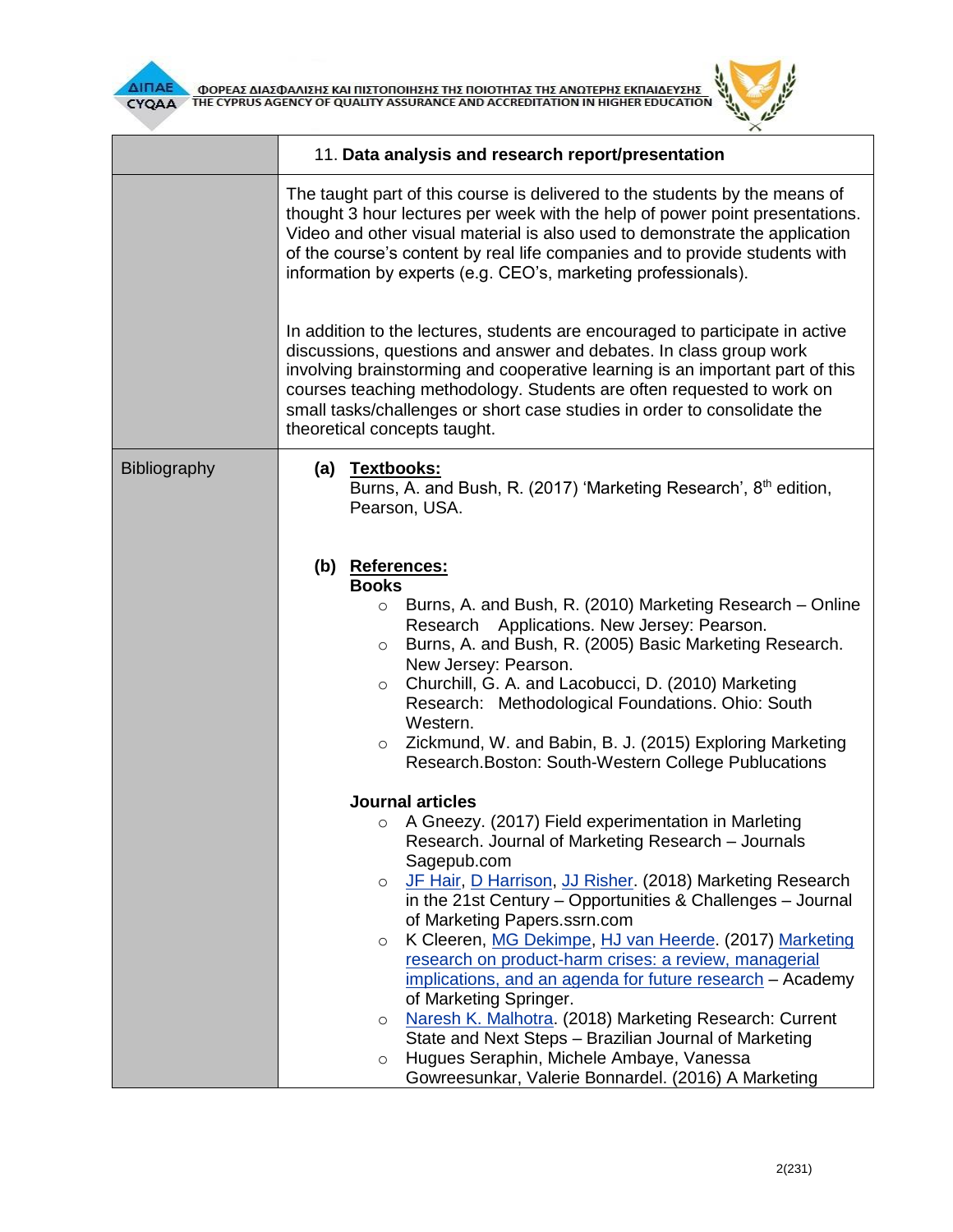



|              | 11. Data analysis and research report/presentation                                                                                                                                                                                                                                                                                                                                                                                                                                                                                                                                                                                                                                                                                                                                                                      |  |  |  |  |  |
|--------------|-------------------------------------------------------------------------------------------------------------------------------------------------------------------------------------------------------------------------------------------------------------------------------------------------------------------------------------------------------------------------------------------------------------------------------------------------------------------------------------------------------------------------------------------------------------------------------------------------------------------------------------------------------------------------------------------------------------------------------------------------------------------------------------------------------------------------|--|--|--|--|--|
|              | The taught part of this course is delivered to the students by the means of<br>thought 3 hour lectures per week with the help of power point presentations.<br>Video and other visual material is also used to demonstrate the application<br>of the course's content by real life companies and to provide students with<br>information by experts (e.g. CEO's, marketing professionals).<br>In addition to the lectures, students are encouraged to participate in active<br>discussions, questions and answer and debates. In class group work<br>involving brainstorming and cooperative learning is an important part of this<br>courses teaching methodology. Students are often requested to work on<br>small tasks/challenges or short case studies in order to consolidate the<br>theoretical concepts taught. |  |  |  |  |  |
|              |                                                                                                                                                                                                                                                                                                                                                                                                                                                                                                                                                                                                                                                                                                                                                                                                                         |  |  |  |  |  |
| Bibliography | (a) Textbooks:<br>Burns, A. and Bush, R. (2017) 'Marketing Research', 8 <sup>th</sup> edition,<br>Pearson, USA.                                                                                                                                                                                                                                                                                                                                                                                                                                                                                                                                                                                                                                                                                                         |  |  |  |  |  |
|              | (b) References:<br><b>Books</b><br>Burns, A. and Bush, R. (2010) Marketing Research – Online<br>$\circ$<br>Research Applications. New Jersey: Pearson.<br>Burns, A. and Bush, R. (2005) Basic Marketing Research.<br>$\circ$<br>New Jersey: Pearson.<br>Churchill, G. A. and Lacobucci, D. (2010) Marketing<br>$\circ$<br>Research: Methodological Foundations. Ohio: South<br>Western.<br>Zickmund, W. and Babin, B. J. (2015) Exploring Marketing<br>$\circ$<br>Research.Boston: South-Western College Publucations                                                                                                                                                                                                                                                                                                   |  |  |  |  |  |
|              | <b>Journal articles</b><br>A Gneezy. (2017) Field experimentation in Marleting<br>$\circ$<br>Research. Journal of Marketing Research - Journals<br>Sagepub.com<br>JF Hair, D Harrison, JJ Risher. (2018) Marketing Research<br>$\circ$<br>in the 21st Century – Opportunities & Challenges – Journal<br>of Marketing Papers.ssrn.com<br>K Cleeren, MG Dekimpe, HJ van Heerde. (2017) Marketing<br>$\circ$<br>research on product-harm crises: a review, managerial<br>implications, and an agenda for future research - Academy<br>of Marketing Springer.<br>Naresh K. Malhotra. (2018) Marketing Research: Current<br>$\circ$                                                                                                                                                                                          |  |  |  |  |  |
|              | State and Next Steps - Brazilian Journal of Marketing<br>Hugues Seraphin, Michele Ambaye, Vanessa<br>$\circ$<br>Gowreesunkar, Valerie Bonnardel. (2016) A Marketing                                                                                                                                                                                                                                                                                                                                                                                                                                                                                                                                                                                                                                                     |  |  |  |  |  |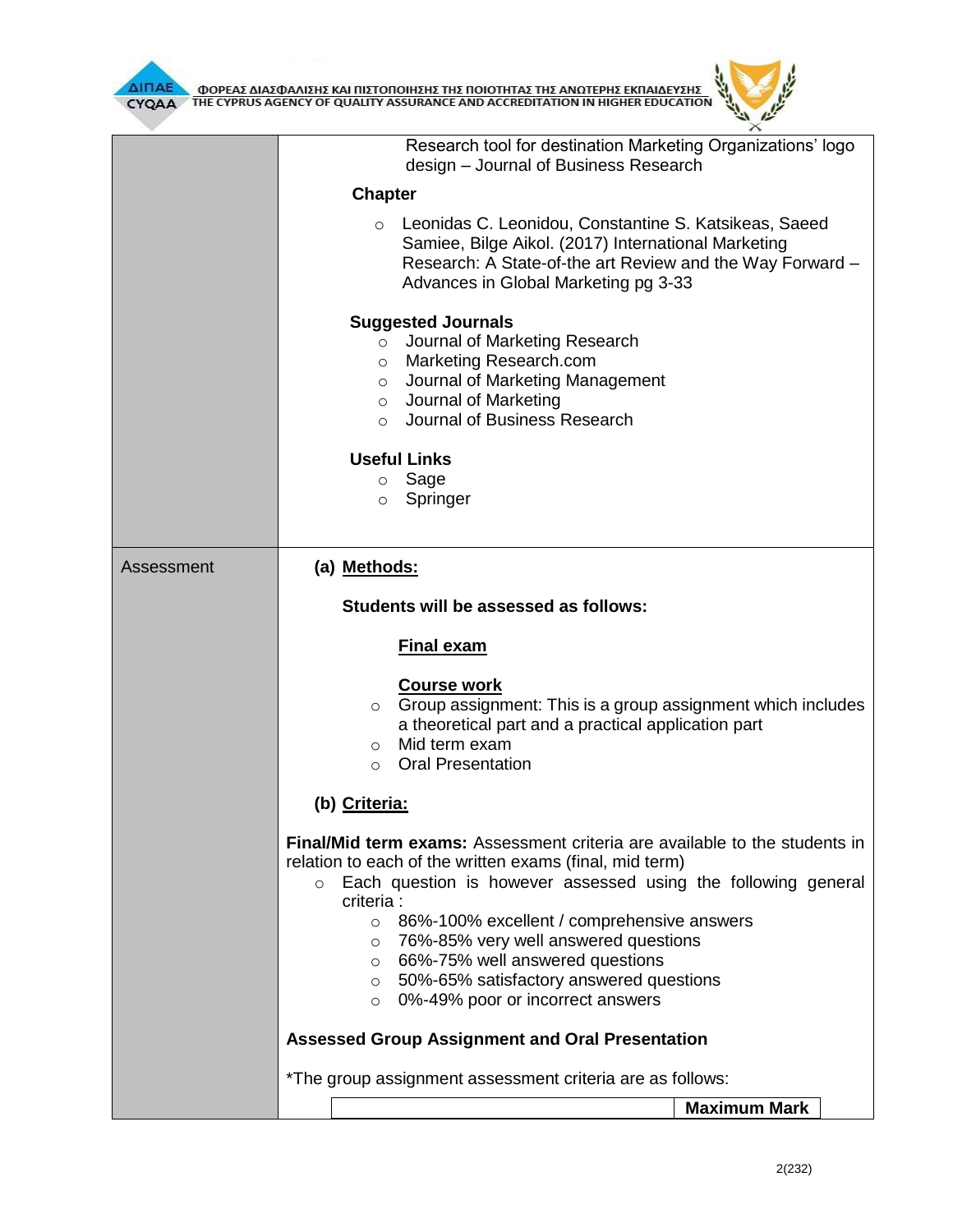



|            | Research tool for destination Marketing Organizations' logo<br>design - Journal of Business Research                                                                                                                                                                                                                                                                                                                                                                                           |  |  |  |  |
|------------|------------------------------------------------------------------------------------------------------------------------------------------------------------------------------------------------------------------------------------------------------------------------------------------------------------------------------------------------------------------------------------------------------------------------------------------------------------------------------------------------|--|--|--|--|
|            | <b>Chapter</b>                                                                                                                                                                                                                                                                                                                                                                                                                                                                                 |  |  |  |  |
|            | Leonidas C. Leonidou, Constantine S. Katsikeas, Saeed<br>Samiee, Bilge Aikol. (2017) International Marketing<br>Research: A State-of-the art Review and the Way Forward -<br>Advances in Global Marketing pg 3-33                                                                                                                                                                                                                                                                              |  |  |  |  |
|            | <b>Suggested Journals</b><br>Journal of Marketing Research<br>$\circ$<br>Marketing Research.com<br>$\circ$<br>Journal of Marketing Management<br>$\circ$<br>o Journal of Marketing<br>o Journal of Business Research                                                                                                                                                                                                                                                                           |  |  |  |  |
|            | <b>Useful Links</b><br>o Sage<br>Springer<br>$\circ$                                                                                                                                                                                                                                                                                                                                                                                                                                           |  |  |  |  |
| Assessment | (a) Methods:                                                                                                                                                                                                                                                                                                                                                                                                                                                                                   |  |  |  |  |
|            | Students will be assessed as follows:                                                                                                                                                                                                                                                                                                                                                                                                                                                          |  |  |  |  |
|            |                                                                                                                                                                                                                                                                                                                                                                                                                                                                                                |  |  |  |  |
|            | <b>Final exam</b>                                                                                                                                                                                                                                                                                                                                                                                                                                                                              |  |  |  |  |
|            | <b>Course work</b><br>Group assignment: This is a group assignment which includes<br>$\circ$<br>a theoretical part and a practical application part<br>Mid term exam<br>$\circ$<br><b>Oral Presentation</b><br>$\circ$                                                                                                                                                                                                                                                                         |  |  |  |  |
|            | (b) Criteria:                                                                                                                                                                                                                                                                                                                                                                                                                                                                                  |  |  |  |  |
|            | Final/Mid term exams: Assessment criteria are available to the students in<br>relation to each of the written exams (final, mid term)<br>Each question is however assessed using the following general<br>$\circ$<br>criteria :<br>86%-100% excellent / comprehensive answers<br>$\circ$<br>76%-85% very well answered questions<br>$\circ$<br>66%-75% well answered questions<br>$\circ$<br>50%-65% satisfactory answered questions<br>$\circ$<br>0%-49% poor or incorrect answers<br>$\circ$ |  |  |  |  |
|            | <b>Assessed Group Assignment and Oral Presentation</b>                                                                                                                                                                                                                                                                                                                                                                                                                                         |  |  |  |  |
|            | *The group assignment assessment criteria are as follows:                                                                                                                                                                                                                                                                                                                                                                                                                                      |  |  |  |  |